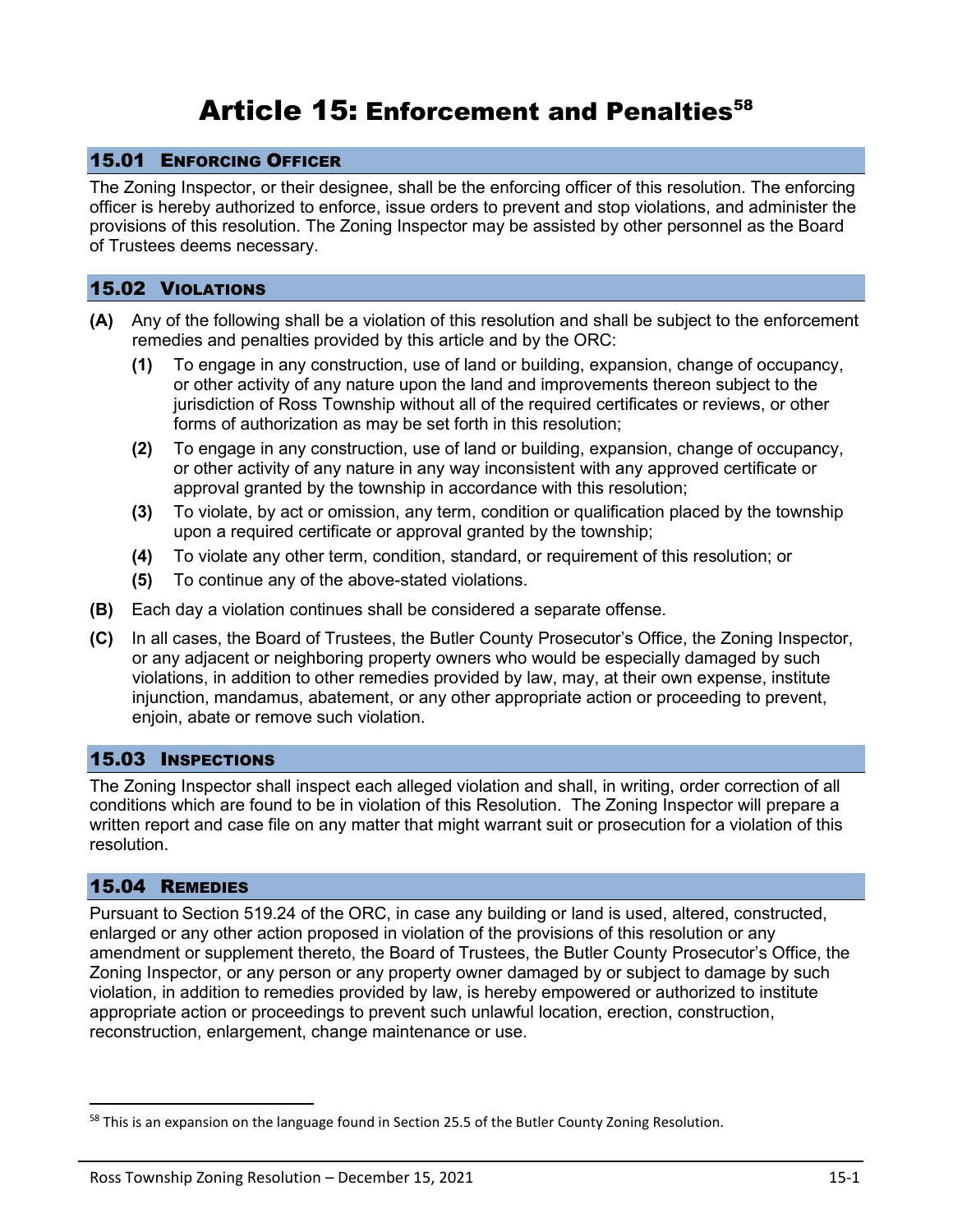# Article 15: Enforcement and Penalties<sup>58</sup>

#### 15.01 ENFORCING OFFICER

The Zoning Inspector, or their designee, shall be the enforcing officer of this resolution. The enforcing officer is hereby authorized to enforce, issue orders to prevent and stop violations, and administer the provisions of this resolution. The Zoning Inspector may be assisted by other personnel as the Board of Trustees deems necessary.

#### 15.02 VIOLATIONS

- **(A)** Any of the following shall be a violation of this resolution and shall be subject to the enforcement remedies and penalties provided by this article and by the ORC:
	- **(1)** To engage in any construction, use of land or building, expansion, change of occupancy, or other activity of any nature upon the land and improvements thereon subject to the jurisdiction of Ross Township without all of the required certificates or reviews, or other forms of authorization as may be set forth in this resolution;
	- **(2)** To engage in any construction, use of land or building, expansion, change of occupancy, or other activity of any nature in any way inconsistent with any approved certificate or approval granted by the township in accordance with this resolution;
	- **(3)** To violate, by act or omission, any term, condition or qualification placed by the township upon a required certificate or approval granted by the township;
	- **(4)** To violate any other term, condition, standard, or requirement of this resolution; or
	- **(5)** To continue any of the above-stated violations.
- **(B)** Each day a violation continues shall be considered a separate offense.
- **(C)** In all cases, the Board of Trustees, the Butler County Prosecutor's Office, the Zoning Inspector, or any adjacent or neighboring property owners who would be especially damaged by such violations, in addition to other remedies provided by law, may, at their own expense, institute injunction, mandamus, abatement, or any other appropriate action or proceeding to prevent, enjoin, abate or remove such violation.

### 15.03 INSPECTIONS

The Zoning Inspector shall inspect each alleged violation and shall, in writing, order correction of all conditions which are found to be in violation of this Resolution. The Zoning Inspector will prepare a written report and case file on any matter that might warrant suit or prosecution for a violation of this resolution.

#### 15.04 REMEDIES

Pursuant to Section 519.24 of the ORC, in case any building or land is used, altered, constructed, enlarged or any other action proposed in violation of the provisions of this resolution or any amendment or supplement thereto, the Board of Trustees, the Butler County Prosecutor's Office, the Zoning Inspector, or any person or any property owner damaged by or subject to damage by such violation, in addition to remedies provided by law, is hereby empowered or authorized to institute appropriate action or proceedings to prevent such unlawful location, erection, construction, reconstruction, enlargement, change maintenance or use.

<sup>&</sup>lt;sup>58</sup> This is an expansion on the language found in Section 25.5 of the Butler County Zoning Resolution.